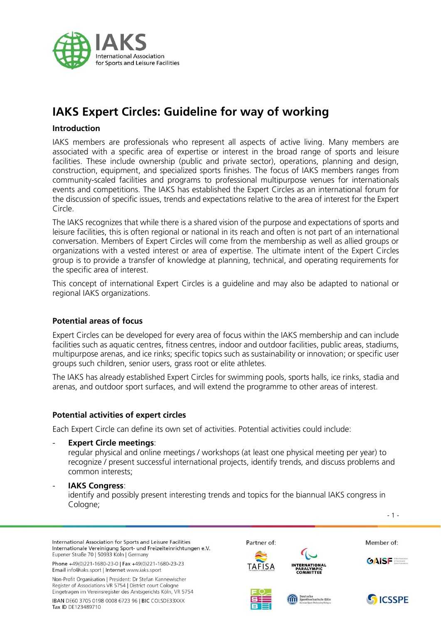

# **IAKS Expert Circles: Guideline for way of working**

# **Introduction**

IAKS members are professionals who represent all aspects of active living. Many members are associated with a specific area of expertise or interest in the broad range of sports and leisure facilities. These include ownership (public and private sector), operations, planning and design, construction, equipment, and specialized sports finishes. The focus of IAKS members ranges from community-scaled facilities and programs to professional multipurpose venues for internationals events and competitions. The IAKS has established the Expert Circles as an international forum for the discussion of specific issues, trends and expectations relative to the area of interest for the Expert Circle.

The IAKS recognizes that while there is a shared vision of the purpose and expectations of sports and leisure facilities, this is often regional or national in its reach and often is not part of an international conversation. Members of Expert Circles will come from the membership as well as allied groups or organizations with a vested interest or area of expertise. The ultimate intent of the Expert Circles group is to provide a transfer of knowledge at planning, technical, and operating requirements for the specific area of interest.

This concept of international Expert Circles is a guideline and may also be adapted to national or regional IAKS organizations.

# **Potential areas of focus**

Expert Circles can be developed for every area of focus within the IAKS membership and can include facilities such as aquatic centres, fitness centres, indoor and outdoor facilities, public areas, stadiums, multipurpose arenas, and ice rinks; specific topics such as sustainability or innovation; or specific user groups such children, senior users, grass root or elite athletes.

The IAKS has already established Expert Circles for swimming pools, sports halls, ice rinks, stadia and arenas, and outdoor sport surfaces, and will extend the programme to other areas of interest.

# **Potential activities of expert circles**

Each Expert Circle can define its own set of activities. Potential activities could include:

- **Expert Circle meetings**:

regular physical and online meetings / workshops (at least one physical meeting per year) to recognize / present successful international projects, identify trends, and discuss problems and common interests;

#### - **IAKS Congress**:

identify and possibly present interesting trends and topics for the biannual IAKS congress in Cologne;

International Association for Sports and Leisure Facilities Internationale Vereinigung Sport- und Freizeiteinrichtungen e.V. Eupener Straße 70 | 50933 Köln | Germany

Phone +49(0)221-1680-23-0 | Fax +49(0)221-1680-23-23 Email info@iaks.sport | Internet www.iaks.sport

Non-Profit Organisation | President: Dr Stefan Kannewischer Register of Associations VR 5754 | District court Cologne Eingetragen im Vereinsregister des Amtsgerichts Köln, VR 5754

IBAN DE60 3705 0198 0008 6723 96 | BIC COLSDE33XXX Tax ID DF123489710

Partner of:





Member of:

- 1 -







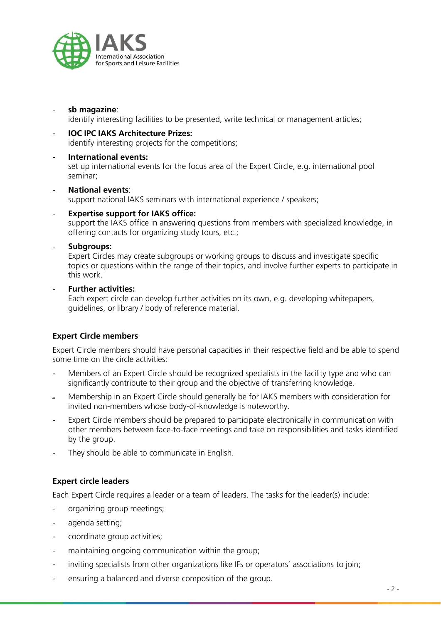

- **sb magazine**:

identify interesting facilities to be presented, write technical or management articles;

## - **IOC IPC IAKS Architecture Prizes:**

identify interesting projects for the competitions;

#### - **International events:**

set up international events for the focus area of the Expert Circle, e.g. international pool seminar;

#### - **National events**:

support national IAKS seminars with international experience / speakers;

#### **Expertise support for IAKS office:**

support the IAKS office in answering questions from members with specialized knowledge, in offering contacts for organizing study tours, etc.;

#### - **Subgroups:**

Expert Circles may create subgroups or working groups to discuss and investigate specific topics or questions within the range of their topics, and involve further experts to participate in this work.

## - **Further activities:**

Each expert circle can develop further activities on its own, e.g. developing whitepapers, guidelines, or library / body of reference material.

# **Expert Circle members**

Expert Circle members should have personal capacities in their respective field and be able to spend some time on the circle activities:

- Members of an Expert Circle should be recognized specialists in the facility type and who can significantly contribute to their group and the objective of transferring knowledge.
- Membership in an Expert Circle should generally be for IAKS members with consideration for invited non-members whose body-of-knowledge is noteworthy.
- Expert Circle members should be prepared to participate electronically in communication with other members between face-to-face meetings and take on responsibilities and tasks identified by the group.
- They should be able to communicate in English.

# **Expert circle leaders**

Each Expert Circle requires a leader or a team of leaders. The tasks for the leader(s) include:

- organizing group meetings;
- agenda setting;
- coordinate group activities;
- maintaining ongoing communication within the group;
- inviting specialists from other organizations like IFs or operators' associations to join;
- ensuring a balanced and diverse composition of the group.